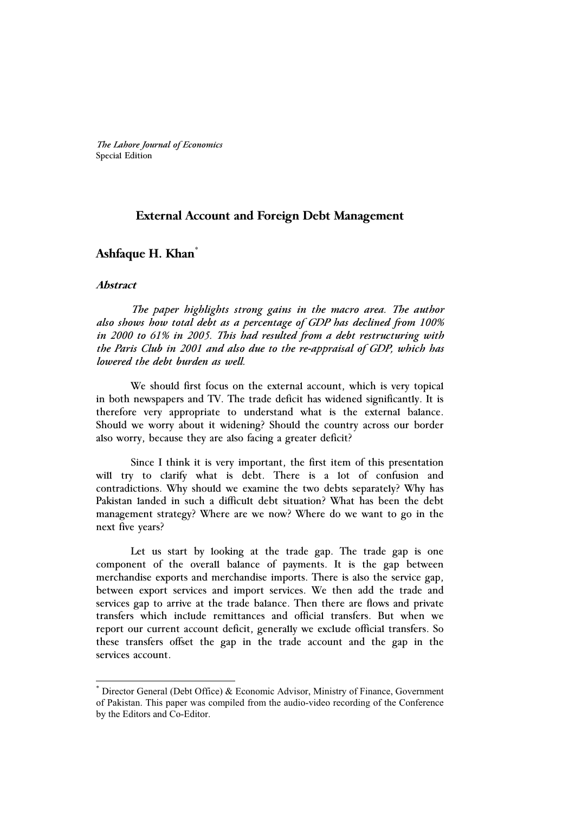*The Lahore Journal of Economics* Special Edition

## **External Account and Foreign Debt Management**

## **Ashfaque H. Khan\***

#### **Abstract**

j

 *The paper highlights strong gains in the macro area. The author also shows how total debt as a percentage of GDP has declined from 100% in 2000 to 61% in 2005. This had resulted from a debt restructuring with the Paris Club in 2001 and also due to the re-appraisal of GDP, which has lowered the debt burden as well.* 

We should first focus on the external account, which is very topical in both newspapers and TV. The trade deficit has widened significantly. It is therefore very appropriate to understand what is the external balance. Should we worry about it widening? Should the country across our border also worry, because they are also facing a greater deficit?

Since I think it is very important, the first item of this presentation will try to clarify what is debt. There is a lot of confusion and contradictions. Why should we examine the two debts separately? Why has Pakistan landed in such a difficult debt situation? What has been the debt management strategy? Where are we now? Where do we want to go in the next five years?

Let us start by looking at the trade gap. The trade gap is one component of the overall balance of payments. It is the gap between merchandise exports and merchandise imports. There is also the service gap, between export services and import services. We then add the trade and services gap to arrive at the trade balance. Then there are flows and private transfers which include remittances and official transfers. But when we report our current account deficit, generally we exclude official transfers. So these transfers offset the gap in the trade account and the gap in the services account.

<sup>\*</sup> Director General (Debt Office) & Economic Advisor, Ministry of Finance, Government of Pakistan. This paper was compiled from the audio-video recording of the Conference by the Editors and Co-Editor.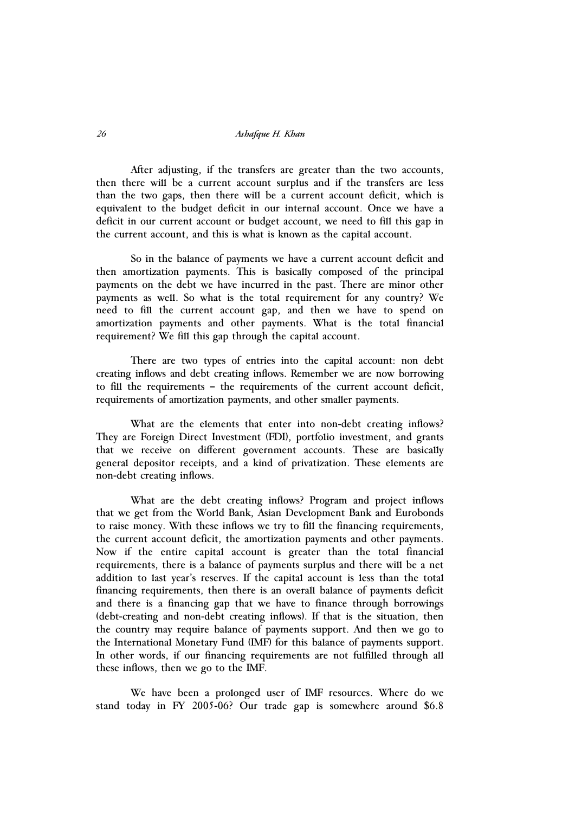After adjusting, if the transfers are greater than the two accounts, then there will be a current account surplus and if the transfers are less than the two gaps, then there will be a current account deficit, which is equivalent to the budget deficit in our internal account. Once we have a deficit in our current account or budget account, we need to fill this gap in the current account, and this is what is known as the capital account.

So in the balance of payments we have a current account deficit and then amortization payments. This is basically composed of the principal payments on the debt we have incurred in the past. There are minor other payments as well. So what is the total requirement for any country? We need to fill the current account gap, and then we have to spend on amortization payments and other payments. What is the total financial requirement? We fill this gap through the capital account.

There are two types of entries into the capital account: non debt creating inflows and debt creating inflows. Remember we are now borrowing to fill the requirements – the requirements of the current account deficit, requirements of amortization payments, and other smaller payments.

What are the elements that enter into non-debt creating inflows? They are Foreign Direct Investment (FDI), portfolio investment, and grants that we receive on different government accounts. These are basically general depositor receipts, and a kind of privatization. These elements are non-debt creating inflows.

What are the debt creating inflows? Program and project inflows that we get from the World Bank, Asian Development Bank and Eurobonds to raise money. With these inflows we try to fill the financing requirements, the current account deficit, the amortization payments and other payments. Now if the entire capital account is greater than the total financial requirements, there is a balance of payments surplus and there will be a net addition to last year's reserves. If the capital account is less than the total financing requirements, then there is an overall balance of payments deficit and there is a financing gap that we have to finance through borrowings (debt-creating and non-debt creating inflows). If that is the situation, then the country may require balance of payments support. And then we go to the International Monetary Fund (IMF) for this balance of payments support. In other words, if our financing requirements are not fulfilled through all these inflows, then we go to the IMF.

We have been a prolonged user of IMF resources. Where do we stand today in FY 2005-06? Our trade gap is somewhere around \$6.8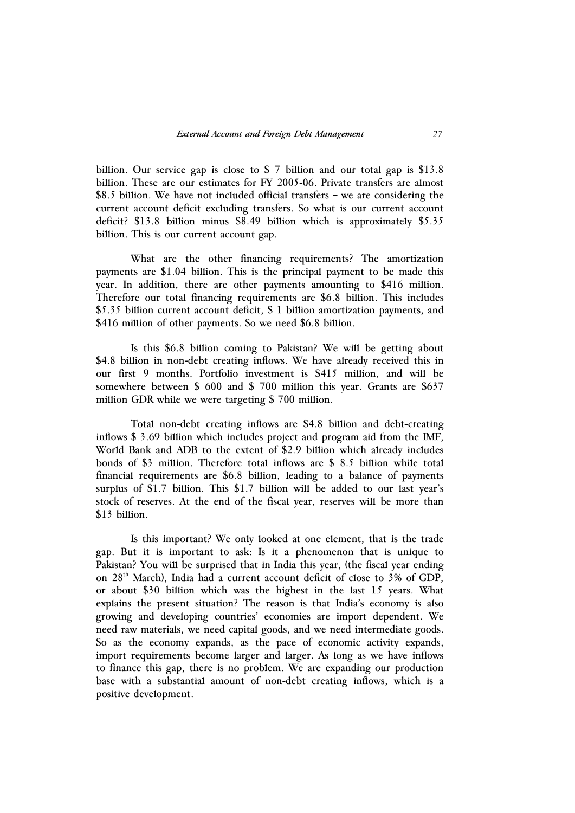billion. Our service gap is close to \$ 7 billion and our total gap is \$13.8 billion. These are our estimates for FY 2005-06. Private transfers are almost \$8.5 billion. We have not included official transfers – we are considering the current account deficit excluding transfers. So what is our current account deficit? \$13.8 billion minus \$8.49 billion which is approximately \$5.35 billion. This is our current account gap.

What are the other financing requirements? The amortization payments are \$1.04 billion. This is the principal payment to be made this year. In addition, there are other payments amounting to \$416 million. Therefore our total financing requirements are \$6.8 billion. This includes \$5.35 billion current account deficit, \$ 1 billion amortization payments, and \$416 million of other payments. So we need \$6.8 billion.

Is this \$6.8 billion coming to Pakistan? We will be getting about \$4.8 billion in non-debt creating inflows. We have already received this in our first 9 months. Portfolio investment is \$415 million, and will be somewhere between \$ 600 and \$ 700 million this year. Grants are \$637 million GDR while we were targeting \$ 700 million.

Total non-debt creating inflows are \$4.8 billion and debt-creating inflows \$ 3.69 billion which includes project and program aid from the IMF, World Bank and ADB to the extent of \$2.9 billion which already includes bonds of \$3 million. Therefore total inflows are \$ 8.5 billion while total financial requirements are \$6.8 billion, leading to a balance of payments surplus of \$1.7 billion. This \$1.7 billion will be added to our last year's stock of reserves. At the end of the fiscal year, reserves will be more than \$13 billion.

Is this important? We only looked at one element, that is the trade gap. But it is important to ask: Is it a phenomenon that is unique to Pakistan? You will be surprised that in India this year, (the fiscal year ending on 28<sup>th</sup> March), India had a current account deficit of close to 3% of GDP, or about \$30 billion which was the highest in the last 15 years. What explains the present situation? The reason is that India's economy is also growing and developing countries' economies are import dependent. We need raw materials, we need capital goods, and we need intermediate goods. So as the economy expands, as the pace of economic activity expands, import requirements become larger and larger. As long as we have inflows to finance this gap, there is no problem. We are expanding our production base with a substantial amount of non-debt creating inflows, which is a positive development.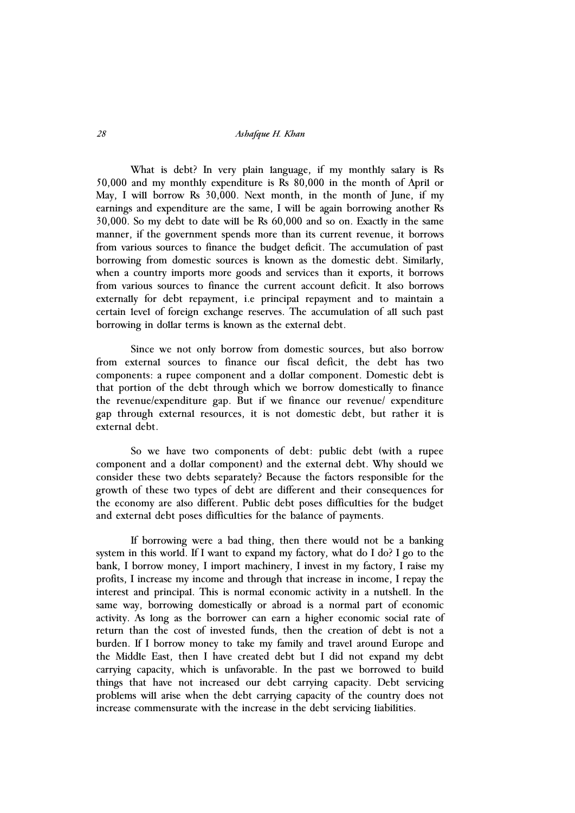What is debt? In very plain language, if my monthly salary is Rs 50,000 and my monthly expenditure is Rs 80,000 in the month of April or May, I will borrow Rs 30,000. Next month, in the month of June, if my earnings and expenditure are the same, I will be again borrowing another Rs 30,000. So my debt to date will be Rs 60,000 and so on. Exactly in the same manner, if the government spends more than its current revenue, it borrows from various sources to finance the budget deficit. The accumulation of past borrowing from domestic sources is known as the domestic debt. Similarly, when a country imports more goods and services than it exports, it borrows from various sources to finance the current account deficit. It also borrows externally for debt repayment, i.e principal repayment and to maintain a certain level of foreign exchange reserves. The accumulation of all such past borrowing in dollar terms is known as the external debt.

Since we not only borrow from domestic sources, but also borrow from external sources to finance our fiscal deficit, the debt has two components: a rupee component and a dollar component. Domestic debt is that portion of the debt through which we borrow domestically to finance the revenue/expenditure gap. But if we finance our revenue/ expenditure gap through external resources, it is not domestic debt, but rather it is external debt.

So we have two components of debt: public debt (with a rupee component and a dollar component) and the external debt. Why should we consider these two debts separately? Because the factors responsible for the growth of these two types of debt are different and their consequences for the economy are also different. Public debt poses difficulties for the budget and external debt poses difficulties for the balance of payments.

If borrowing were a bad thing, then there would not be a banking system in this world. If I want to expand my factory, what do I do? I go to the bank, I borrow money, I import machinery, I invest in my factory, I raise my profits, I increase my income and through that increase in income, I repay the interest and principal. This is normal economic activity in a nutshell. In the same way, borrowing domestically or abroad is a normal part of economic activity. As long as the borrower can earn a higher economic social rate of return than the cost of invested funds, then the creation of debt is not a burden. If I borrow money to take my family and travel around Europe and the Middle East, then I have created debt but I did not expand my debt carrying capacity, which is unfavorable. In the past we borrowed to build things that have not increased our debt carrying capacity. Debt servicing problems will arise when the debt carrying capacity of the country does not increase commensurate with the increase in the debt servicing liabilities.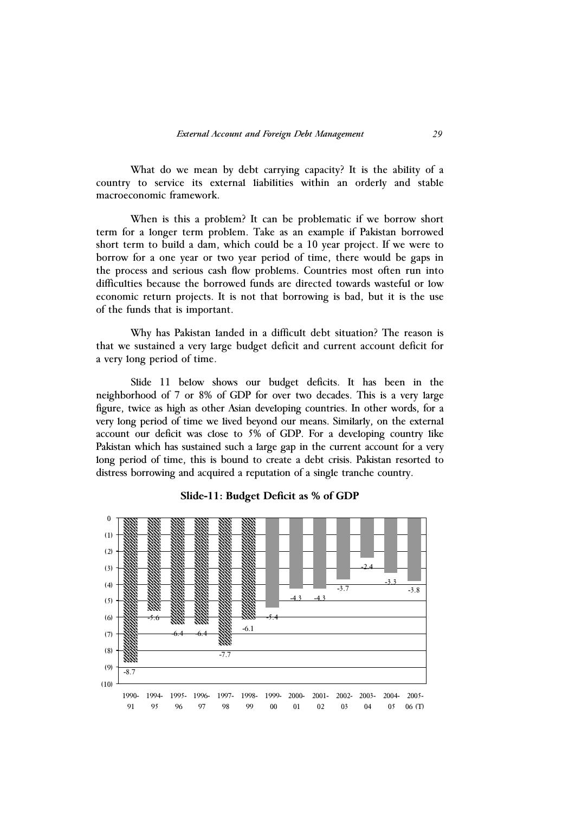What do we mean by debt carrying capacity? It is the ability of a country to service its external liabilities within an orderly and stable macroeconomic framework.

When is this a problem? It can be problematic if we borrow short term for a longer term problem. Take as an example if Pakistan borrowed short term to build a dam, which could be a 10 year project. If we were to borrow for a one year or two year period of time, there would be gaps in the process and serious cash flow problems. Countries most often run into difficulties because the borrowed funds are directed towards wasteful or low economic return projects. It is not that borrowing is bad, but it is the use of the funds that is important.

Why has Pakistan landed in a difficult debt situation? The reason is that we sustained a very large budget deficit and current account deficit for a very long period of time.

Slide 11 below shows our budget deficits. It has been in the neighborhood of 7 or 8% of GDP for over two decades. This is a very large figure, twice as high as other Asian developing countries. In other words, for a very long period of time we lived beyond our means. Similarly, on the external account our deficit was close to 5% of GDP. For a developing country like Pakistan which has sustained such a large gap in the current account for a very long period of time, this is bound to create a debt crisis. Pakistan resorted to distress borrowing and acquired a reputation of a single tranche country.



**Slide-11: Budget Deficit as % of GDP**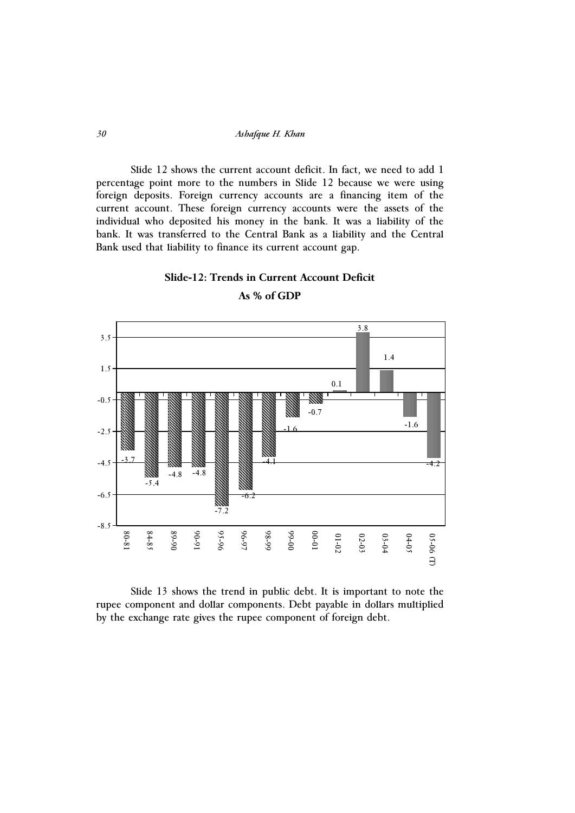Slide 12 shows the current account deficit. In fact, we need to add 1 percentage point more to the numbers in Slide 12 because we were using foreign deposits. Foreign currency accounts are a financing item of the current account. These foreign currency accounts were the assets of the individual who deposited his money in the bank. It was a liability of the bank. It was transferred to the Central Bank as a liability and the Central Bank used that liability to finance its current account gap.

#### **Slide-12: Trends in Current Account Deficit**



**As % of GDP** 

Slide 13 shows the trend in public debt. It is important to note the rupee component and dollar components. Debt payable in dollars multiplied by the exchange rate gives the rupee component of foreign debt.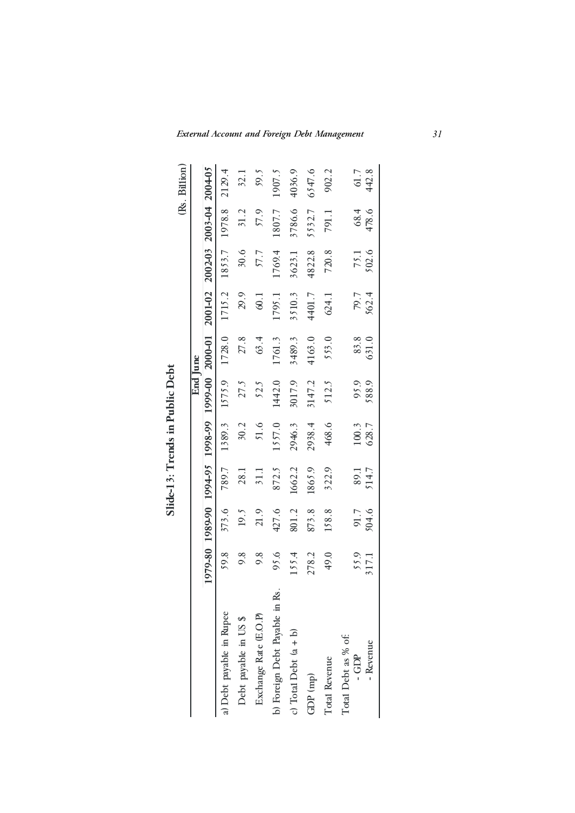|                               |               |               |               | Slide-13: Trends in Public Debt |          |                                                 |         |               |                     |               |
|-------------------------------|---------------|---------------|---------------|---------------------------------|----------|-------------------------------------------------|---------|---------------|---------------------|---------------|
|                               |               |               |               |                                 |          |                                                 |         |               |                     | (Rs. Billion) |
|                               |               |               |               |                                 | End June |                                                 |         |               |                     |               |
|                               |               |               |               |                                 |          | I0-0007 00-666I 66-866I 56-766I 06-686I 08-616I | 2001-02 |               | $2002 - 03$ 2003-04 | 2004-05       |
| a) Debt payable in Rupee      | 59.8          | 373.6         | 789.7         | 1389.3                          | 1575.9   | 1728.0                                          | 1715.2  | 1853.7        | 1978.8              | 2129.4        |
| Debt payable in US \$         | 9.8           | 19.5          | 28.1          | 30.2                            | 27.5     | 27.8                                            | 29.9    | 30.6          | 31.2                | 32.1          |
| Exchange Rate (E.O.P)         | 9.8           | 21.9          | 31.1          | 51.6                            | 52.5     | 63.4                                            | 60.1    | 57.7          | 57.9                | 59.5          |
| b) Foreign Debt Payable in Rs | 95.6          | 427.6         | 872.5         | 1557.0                          | 1442.0   | 1761.3                                          | 1795.1  | 1769.4        | 1807.7              | 1907.5        |
| c) Total Debt $(a + b)$       | 155.4         | 801.2         | 1662.2        | 2946.3                          | 3017.9   | 3489.3                                          | 3510.3  | 3623.1        | 3786.6              | 4036.9        |
| $GDP$ (mp)                    | 278.2         | 873.8         | 1865.9        | 2938.4                          | 3147.2   | 4163.0                                          | 4401.7  | 4822.8        | 5532.7              | 6547.6        |
| Total Revenue                 | 49.0          | 158.8         | 322.9         | 468.6                           | 512.5    | 553.0                                           | 624.1   | 720.8         | 791.1               | 902.2         |
| Total Debt as % of:<br>- GDP  |               |               |               | 100.3                           | 95.9     | 83.8                                            | 79.7    |               | 68.4                |               |
| - Revenue                     | 55.9<br>317.1 | 91.7<br>504.6 | 89.1<br>514.7 | 628.7                           | 588.9    | 631.0                                           | 562.4   | 75.1<br>502.6 | 478.6               | 61.7<br>442.8 |
|                               |               |               |               |                                 |          |                                                 |         |               |                     |               |

 $\overline{\phantom{a}}$  $P_{11}$ blic $\Gamma$ e  $\ddot{\cdot}$ Ŷ.  $\mathbf{F}$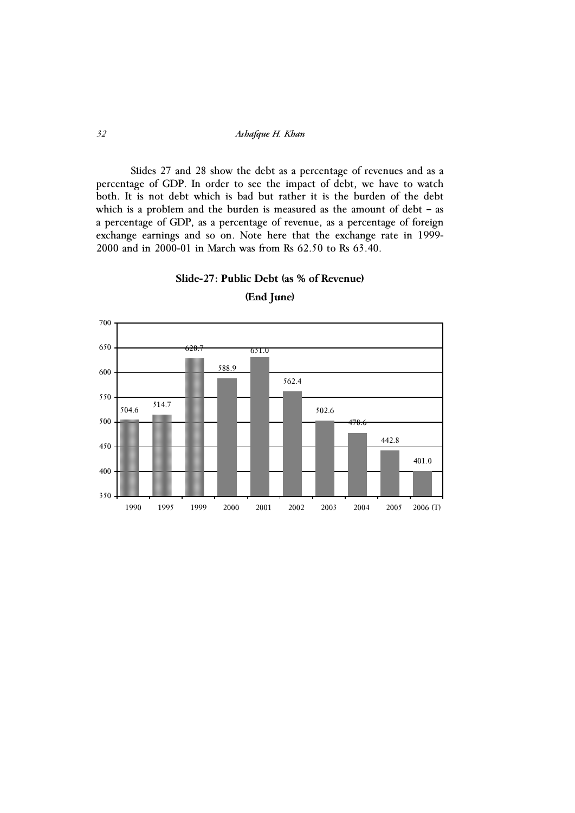Slides 27 and 28 show the debt as a percentage of revenues and as a percentage of GDP. In order to see the impact of debt, we have to watch both. It is not debt which is bad but rather it is the burden of the debt which is a problem and the burden is measured as the amount of debt – as a percentage of GDP, as a percentage of revenue, as a percentage of foreign exchange earnings and so on. Note here that the exchange rate in 1999- 2000 and in 2000-01 in March was from Rs 62.50 to Rs 63.40.





**(End June)**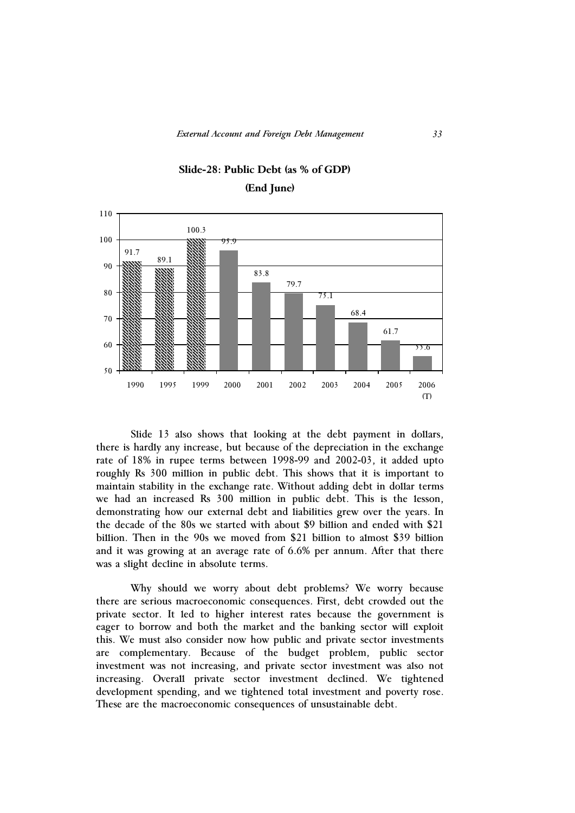

# **Slide-28: Public Debt (as % of GDP) (End June)**

Slide 13 also shows that looking at the debt payment in dollars, there is hardly any increase, but because of the depreciation in the exchange rate of 18% in rupee terms between 1998-99 and 2002-03, it added upto roughly Rs 300 million in public debt. This shows that it is important to maintain stability in the exchange rate. Without adding debt in dollar terms we had an increased Rs 300 million in public debt. This is the lesson, demonstrating how our external debt and liabilities grew over the years. In the decade of the 80s we started with about \$9 billion and ended with \$21 billion. Then in the 90s we moved from \$21 billion to almost \$39 billion and it was growing at an average rate of 6.6% per annum. After that there was a slight decline in absolute terms.

Why should we worry about debt problems? We worry because there are serious macroeconomic consequences. First, debt crowded out the private sector. It led to higher interest rates because the government is eager to borrow and both the market and the banking sector will exploit this. We must also consider now how public and private sector investments are complementary. Because of the budget problem, public sector investment was not increasing, and private sector investment was also not increasing. Overall private sector investment declined. We tightened development spending, and we tightened total investment and poverty rose. These are the macroeconomic consequences of unsustainable debt.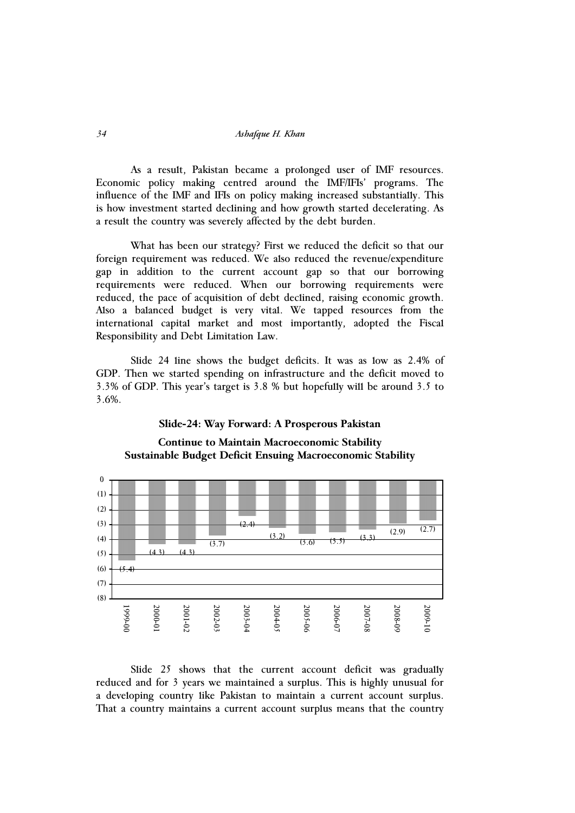As a result, Pakistan became a prolonged user of IMF resources. Economic policy making centred around the IMF/IFIs' programs. The influence of the IMF and IFIs on policy making increased substantially. This is how investment started declining and how growth started decelerating. As a result the country was severely affected by the debt burden.

What has been our strategy? First we reduced the deficit so that our foreign requirement was reduced. We also reduced the revenue/expenditure gap in addition to the current account gap so that our borrowing requirements were reduced. When our borrowing requirements were reduced, the pace of acquisition of debt declined, raising economic growth. Also a balanced budget is very vital. We tapped resources from the international capital market and most importantly, adopted the Fiscal Responsibility and Debt Limitation Law.

Slide 24 line shows the budget deficits. It was as low as 2.4% of GDP. Then we started spending on infrastructure and the deficit moved to 3.3% of GDP. This year's target is 3.8 % but hopefully will be around 3.5 to 3.6%.

#### **Slide-24: Way Forward: A Prosperous Pakistan**





Slide 25 shows that the current account deficit was gradually reduced and for 3 years we maintained a surplus. This is highly unusual for a developing country like Pakistan to maintain a current account surplus. That a country maintains a current account surplus means that the country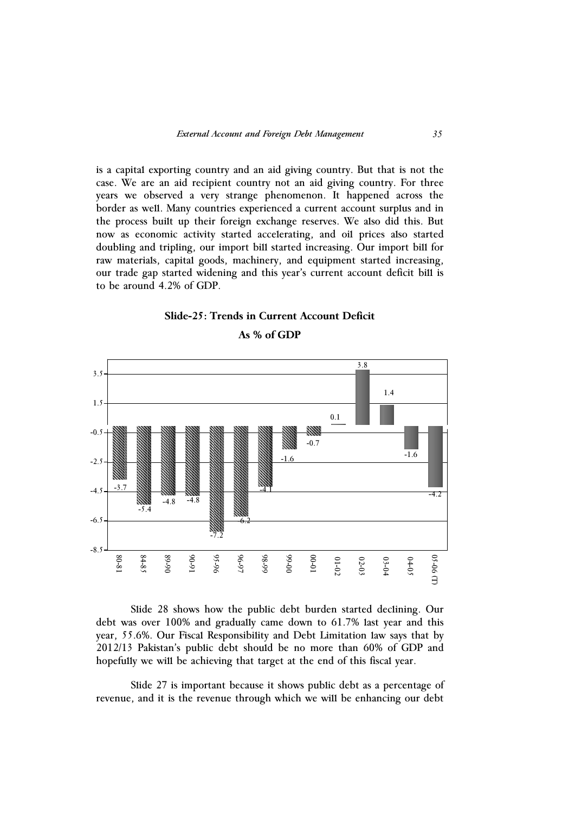is a capital exporting country and an aid giving country. But that is not the case. We are an aid recipient country not an aid giving country. For three years we observed a very strange phenomenon. It happened across the border as well. Many countries experienced a current account surplus and in the process built up their foreign exchange reserves. We also did this. But now as economic activity started accelerating, and oil prices also started doubling and tripling, our import bill started increasing. Our import bill for raw materials, capital goods, machinery, and equipment started increasing, our trade gap started widening and this year's current account deficit bill is to be around 4.2% of GDP.

### **Slide-25: Trends in Current Account Deficit**



**As % of GDP** 

Slide 28 shows how the public debt burden started declining. Our debt was over 100% and gradually came down to 61.7% last year and this year, 55.6%. Our Fiscal Responsibility and Debt Limitation law says that by 2012/13 Pakistan's public debt should be no more than 60% of GDP and hopefully we will be achieving that target at the end of this fiscal year.

Slide 27 is important because it shows public debt as a percentage of revenue, and it is the revenue through which we will be enhancing our debt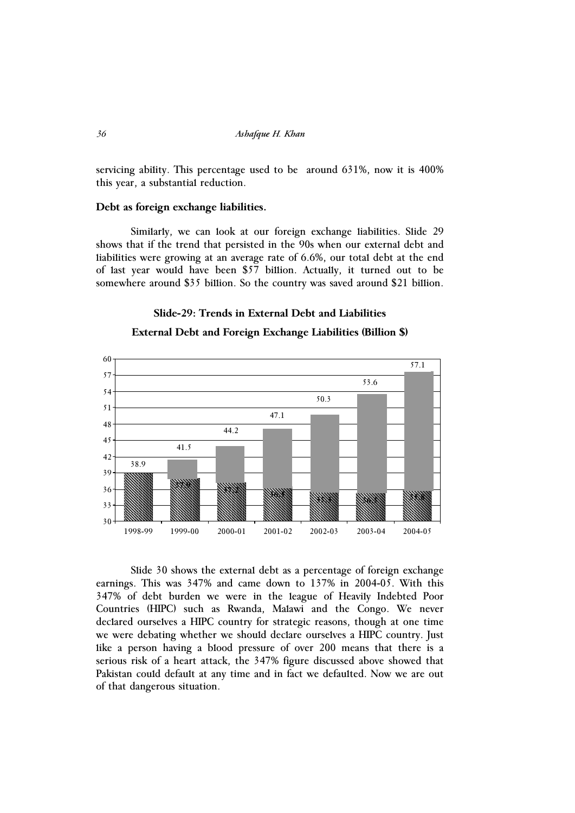servicing ability. This percentage used to be around 631%, now it is 400% this year, a substantial reduction.

#### **Debt as foreign exchange liabilities.**

Similarly, we can look at our foreign exchange liabilities. Slide 29 shows that if the trend that persisted in the 90s when our external debt and liabilities were growing at an average rate of 6.6%, our total debt at the end of last year would have been \$57 billion. Actually, it turned out to be somewhere around \$35 billion. So the country was saved around \$21 billion.

#### **Slide-29: Trends in External Debt and Liabilities**



#### **External Debt and Foreign Exchange Liabilities (Billion \$)**

Slide 30 shows the external debt as a percentage of foreign exchange earnings. This was 347% and came down to 137% in 2004-05. With this 347% of debt burden we were in the league of Heavily Indebted Poor Countries (HIPC) such as Rwanda, Malawi and the Congo. We never declared ourselves a HIPC country for strategic reasons, though at one time we were debating whether we should declare ourselves a HIPC country. Just like a person having a blood pressure of over 200 means that there is a serious risk of a heart attack, the 347% figure discussed above showed that Pakistan could default at any time and in fact we defaulted. Now we are out of that dangerous situation.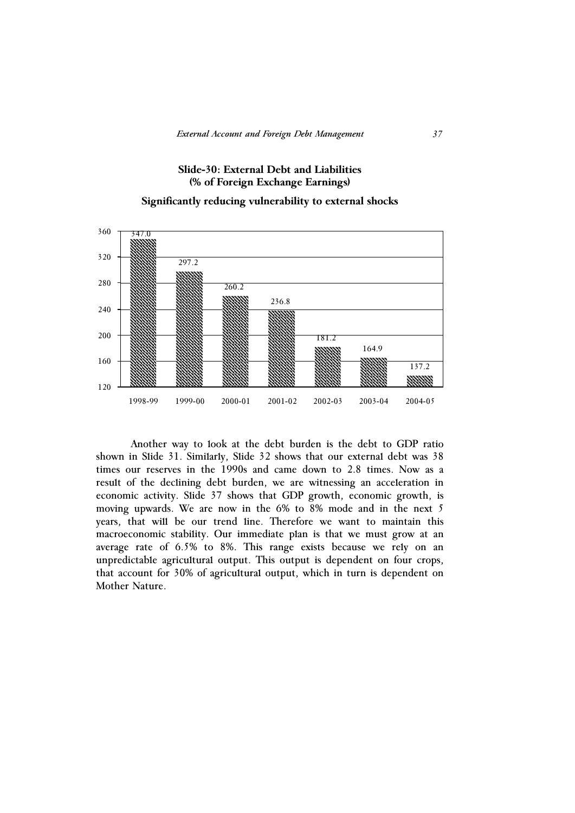## **Slide-30: External Debt and Liabilities (% of Foreign Exchange Earnings)**

## **Significantly reducing vulnerability to external shocks**



 Another way to look at the debt burden is the debt to GDP ratio shown in Slide 31. Similarly, Slide 32 shows that our external debt was 38 times our reserves in the 1990s and came down to 2.8 times. Now as a result of the declining debt burden, we are witnessing an acceleration in economic activity. Slide 37 shows that GDP growth, economic growth, is moving upwards. We are now in the 6% to 8% mode and in the next 5 years, that will be our trend line. Therefore we want to maintain this macroeconomic stability. Our immediate plan is that we must grow at an average rate of 6.5% to 8%. This range exists because we rely on an unpredictable agricultural output. This output is dependent on four crops, that account for 30% of agricultural output, which in turn is dependent on Mother Nature.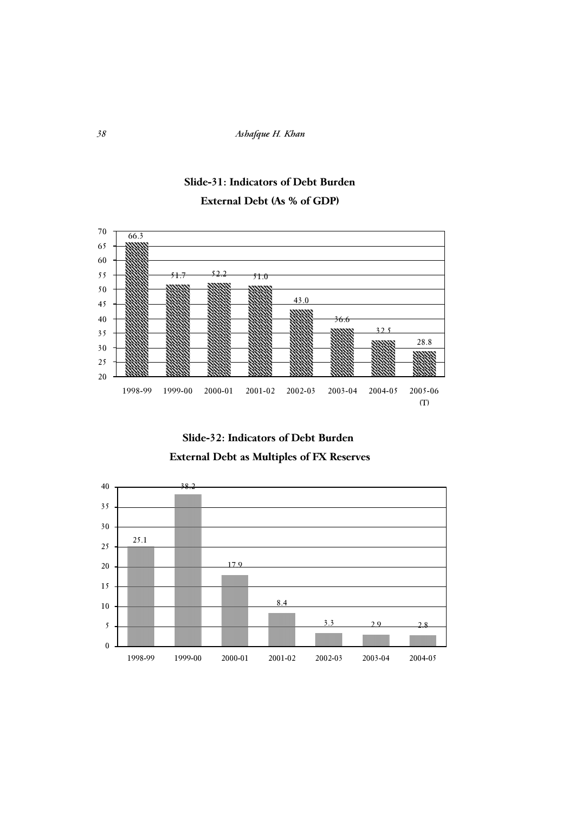





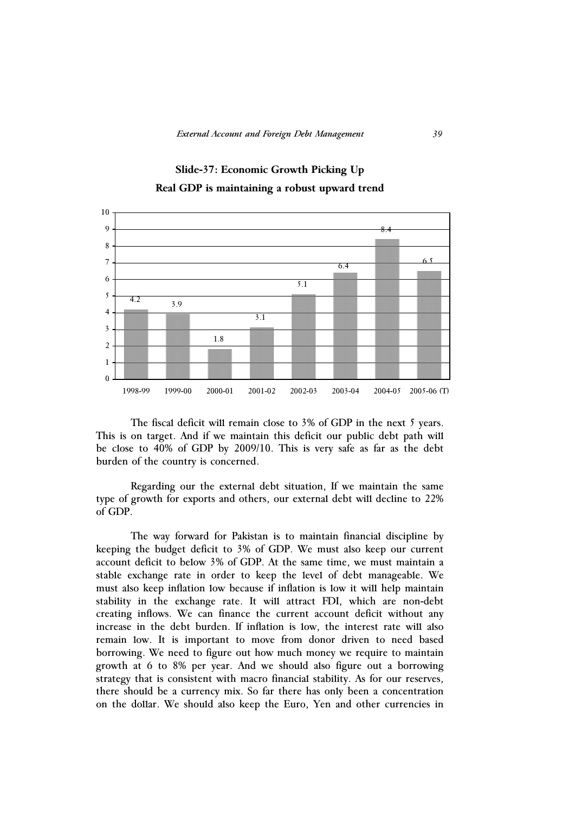

## **Slide-37: Economic Growth Picking Up Real GDP is maintaining a robust upward trend**

The fiscal deficit will remain close to 3% of GDP in the next 5 years. This is on target. And if we maintain this deficit our public debt path will be close to 40% of GDP by 2009/10. This is very safe as far as the debt burden of the country is concerned.

Regarding our the external debt situation, If we maintain the same type of growth for exports and others, our external debt will decline to 22% of GDP.

The way forward for Pakistan is to maintain financial discipline by keeping the budget deficit to 3% of GDP. We must also keep our current account deficit to below 3% of GDP. At the same time, we must maintain a stable exchange rate in order to keep the level of debt manageable. We must also keep inflation low because if inflation is low it will help maintain stability in the exchange rate. It will attract FDI, which are non-debt creating inflows. We can finance the current account deficit without any increase in the debt burden. If inflation is low, the interest rate will also remain low. It is important to move from donor driven to need based borrowing. We need to figure out how much money we require to maintain growth at 6 to 8% per year. And we should also figure out a borrowing strategy that is consistent with macro financial stability. As for our reserves, there should be a currency mix. So far there has only been a concentration on the dollar. We should also keep the Euro, Yen and other currencies in